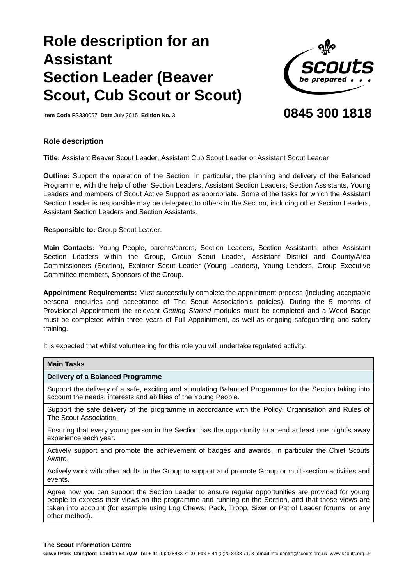# **Role description for an Assistant Section Leader (Beaver Scout, Cub Scout or Scout)**



**Item Code** FS330057 **Date** July 2015 **Edition No.** 3

# **0845 300 1818**

## **Role description**

**Title:** Assistant Beaver Scout Leader, Assistant Cub Scout Leader or Assistant Scout Leader

**Outline:** Support the operation of the Section. In particular, the planning and delivery of the Balanced Programme, with the help of other Section Leaders, Assistant Section Leaders, Section Assistants, Young Leaders and members of Scout Active Support as appropriate. Some of the tasks for which the Assistant Section Leader is responsible may be delegated to others in the Section, including other Section Leaders, Assistant Section Leaders and Section Assistants.

**Responsible to:** Group Scout Leader.

**Main Contacts:** Young People, parents/carers, Section Leaders, Section Assistants, other Assistant Section Leaders within the Group, Group Scout Leader, Assistant District and County/Area Commissioners (Section), Explorer Scout Leader (Young Leaders), Young Leaders, Group Executive Committee members, Sponsors of the Group.

**Appointment Requirements:** Must successfully complete the appointment process (including acceptable personal enquiries and acceptance of The Scout Association's policies). During the 5 months of Provisional Appointment the relevant *Getting Started* modules must be completed and a Wood Badge must be completed within three years of Full Appointment, as well as ongoing safeguarding and safety training.

It is expected that whilst volunteering for this role you will undertake regulated activity.

| <b>Main Tasks</b>                                                                                                                                                                                                                                                                                                                   |
|-------------------------------------------------------------------------------------------------------------------------------------------------------------------------------------------------------------------------------------------------------------------------------------------------------------------------------------|
| Delivery of a Balanced Programme                                                                                                                                                                                                                                                                                                    |
| Support the delivery of a safe, exciting and stimulating Balanced Programme for the Section taking into<br>account the needs, interests and abilities of the Young People.                                                                                                                                                          |
| Support the safe delivery of the programme in accordance with the Policy, Organisation and Rules of<br>The Scout Association.                                                                                                                                                                                                       |
| Ensuring that every young person in the Section has the opportunity to attend at least one night's away<br>experience each year.                                                                                                                                                                                                    |
| Actively support and promote the achievement of badges and awards, in particular the Chief Scouts<br>Award.                                                                                                                                                                                                                         |
| Actively work with other adults in the Group to support and promote Group or multi-section activities and<br>events.                                                                                                                                                                                                                |
| Agree how you can support the Section Leader to ensure regular opportunities are provided for young<br>people to express their views on the programme and running on the Section, and that those views are<br>taken into account (for example using Log Chews, Pack, Troop, Sixer or Patrol Leader forums, or any<br>other method). |